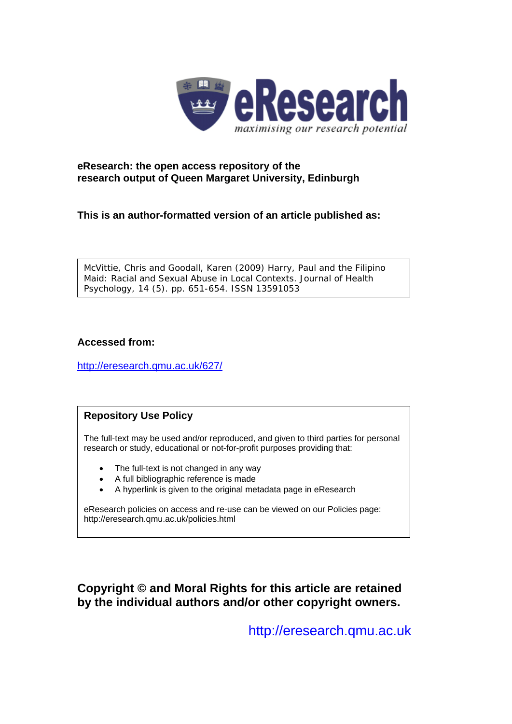

# **eResearch: the open access repository of the research output of Queen Margaret University, Edinburgh**

**This is an author-formatted version of an article published as:** 

McVittie, Chris and Goodall, Karen (2009) *Harry, Paul and the Filipino Maid: Racial and Sexual Abuse in Local Contexts.* Journal of Health Psychology, 14 (5). pp. 651-654. ISSN 13591053

# **Accessed from:**

<http://eresearch.qmu.ac.uk/627/>

# **Repository Use Policy**

The full-text may be used and/or reproduced, and given to third parties for personal research or study, educational or not-for-profit purposes providing that:

- The full-text is not changed in any way
- A full bibliographic reference is made
- A hyperlink is given to the original metadata page in eResearch

eResearch policies on access and re-use can be viewed on our Policies page: <http://eresearch.qmu.ac.uk/policies.html>

**Copyright © and Moral Rights for this article are retained by the individual authors and/or other copyright owners.** 

[http://eresearch.qmu.ac.uk](http://eresearch.qmu.ac.uk/)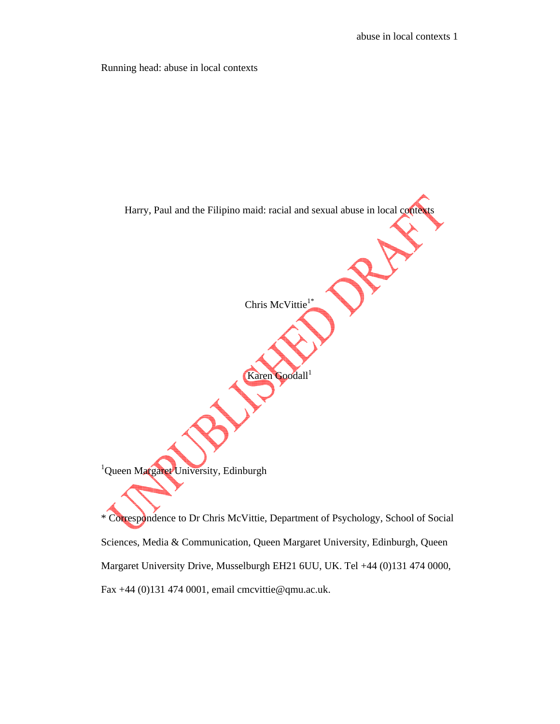Running head: abuse in local contexts



Fax +44 (0)131 474 0001, email cmcvittie@qmu.ac.uk.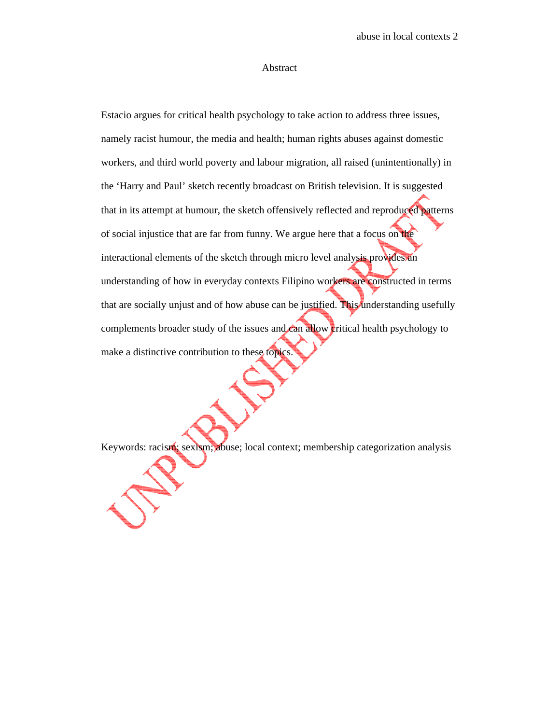#### Abstract

Estacio argues for critical health psychology to take action to address three issues, namely racist humour, the media and health; human rights abuses against domestic workers, and third world poverty and labour migration, all raised (unintentionally) in the 'Harry and Paul' sketch recently broadcast on British television. It is suggested that in its attempt at humour, the sketch offensively reflected and reproduced patterns of social injustice that are far from funny. We argue here that a focus on the interactional elements of the sketch through micro level analysis provides an understanding of how in everyday contexts Filipino workers are constructed in terms that are socially unjust and of how abuse can be justified. This understanding usefully complements broader study of the issues and can allow critical health psychology to make a distinctive contribution to these topics.

Keywords: racism; sexism; abuse; local context; membership categorization analysis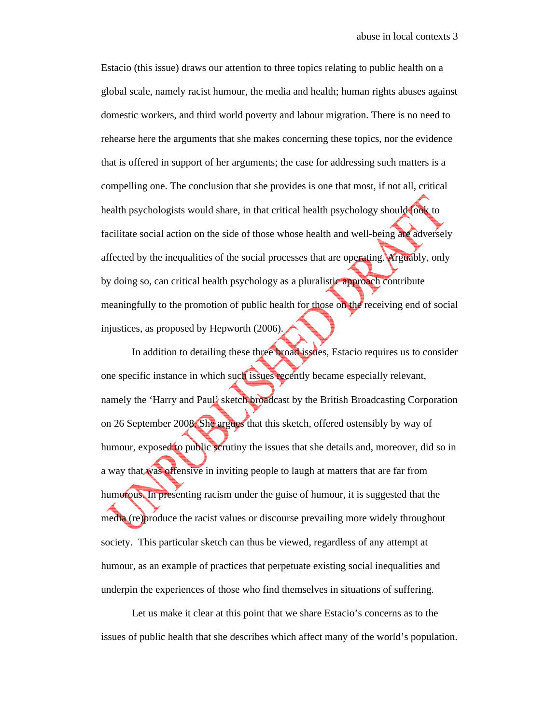Estacio (this issue) draws our attention to three topics relating to public health on a global scale, namely racist humour, the media and health; human rights abuses against domestic workers, and third world poverty and labour migration. There is no need to rehearse here the arguments that she makes concerning these topics, nor the evidence that is offered in support of her arguments; the case for addressing such matters is a compelling one. The conclusion that she provides is one that most, if not all, critical health psychologists would share, in that critical health psychology should look to facilitate social action on the side of those whose health and well-being are adversely affected by the inequalities of the social processes that are operating. Arguably, only by doing so, can critical health psychology as a pluralistic approach contribute meaningfully to the promotion of public health for those on the receiving end of social injustices, as proposed by Hepworth (2006).

In addition to detailing these three broad issues, Estacio requires us to consider one specific instance in which such issues recently became especially relevant, namely the 'Harry and Paul' sketch broadcast by the British Broadcasting Corporation on 26 September 2008. She argues that this sketch, offered ostensibly by way of humour, exposed to public scrutiny the issues that she details and, moreover, did so in a way that was offensive in inviting people to laugh at matters that are far from humorous. In presenting racism under the guise of humour, it is suggested that the media (re)produce the racist values or discourse prevailing more widely throughout society. This particular sketch can thus be viewed, regardless of any attempt at humour, as an example of practices that perpetuate existing social inequalities and underpin the experiences of those who find themselves in situations of suffering.

Let us make it clear at this point that we share Estacio's concerns as to the issues of public health that she describes which affect many of the world's population.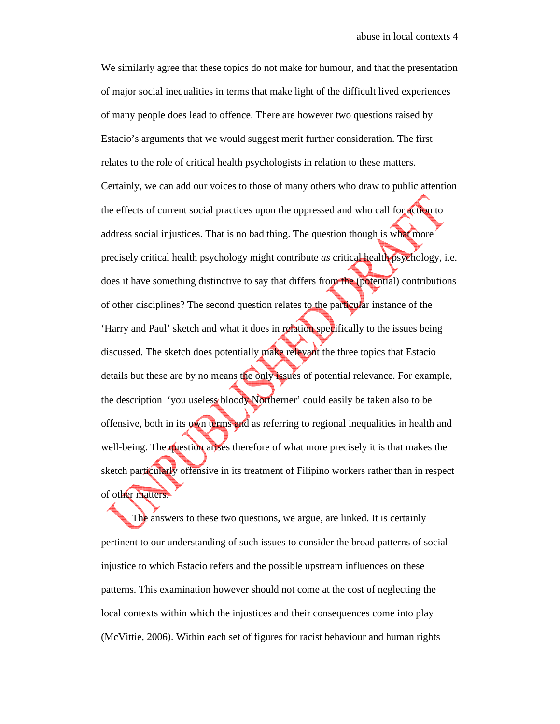We similarly agree that these topics do not make for humour, and that the presentation of major social inequalities in terms that make light of the difficult lived experiences of many people does lead to offence. There are however two questions raised by Estacio's arguments that we would suggest merit further consideration. The first relates to the role of critical health psychologists in relation to these matters. Certainly, we can add our voices to those of many others who draw to public attention the effects of current social practices upon the oppressed and who call for action to address social injustices. That is no bad thing. The question though is what more precisely critical health psychology might contribute *as* critical health psychology, i.e. does it have something distinctive to say that differs from the (potential) contributions of other disciplines? The second question relates to the particular instance of the 'Harry and Paul' sketch and what it does in relation specifically to the issues being discussed. The sketch does potentially make relevant the three topics that Estacio details but these are by no means the only issues of potential relevance. For example, the description 'you useless bloody Northerner' could easily be taken also to be offensive, both in its own terms and as referring to regional inequalities in health and well-being. The question arises therefore of what more precisely it is that makes the sketch particularly offensive in its treatment of Filipino workers rather than in respect of other matters.

The answers to these two questions, we argue, are linked. It is certainly pertinent to our understanding of such issues to consider the broad patterns of social injustice to which Estacio refers and the possible upstream influences on these patterns. This examination however should not come at the cost of neglecting the local contexts within which the injustices and their consequences come into play (McVittie, 2006). Within each set of figures for racist behaviour and human rights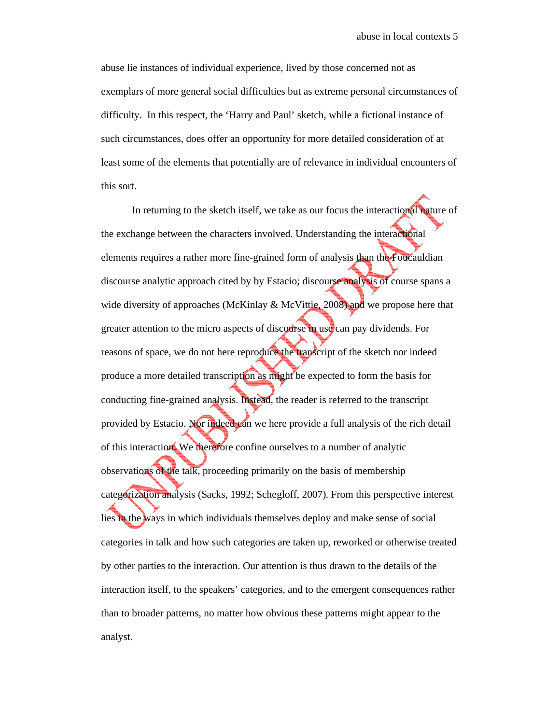abuse lie instances of individual experience, lived by those concerned not as exemplars of more general social difficulties but as extreme personal circumstances of difficulty. In this respect, the 'Harry and Paul' sketch, while a fictional instance of such circumstances, does offer an opportunity for more detailed consideration of at least some of the elements that potentially are of relevance in individual encounters of this sort.

In returning to the sketch itself, we take as our focus the interactional nature of the exchange between the characters involved. Understanding the interactional elements requires a rather more fine-grained form of analysis than the Foucauldian discourse analytic approach cited by by Estacio; discourse analysis of course spans a wide diversity of approaches (McKinlay & McVittie, 2008) and we propose here that greater attention to the micro aspects of discourse in use can pay dividends. For reasons of space, we do not here reproduce the transcript of the sketch nor indeed produce a more detailed transcription as might be expected to form the basis for conducting fine-grained analysis. Instead, the reader is referred to the transcript provided by Estacio. Nor indeed can we here provide a full analysis of the rich detail of this interaction. We therefore confine ourselves to a number of analytic observations of the talk, proceeding primarily on the basis of membership categorization analysis (Sacks, 1992; Schegloff, 2007). From this perspective interest lies in the ways in which individuals themselves deploy and make sense of social categories in talk and how such categories are taken up, reworked or otherwise treated by other parties to the interaction. Our attention is thus drawn to the details of the interaction itself, to the speakers' categories, and to the emergent consequences rather than to broader patterns, no matter how obvious these patterns might appear to the analyst.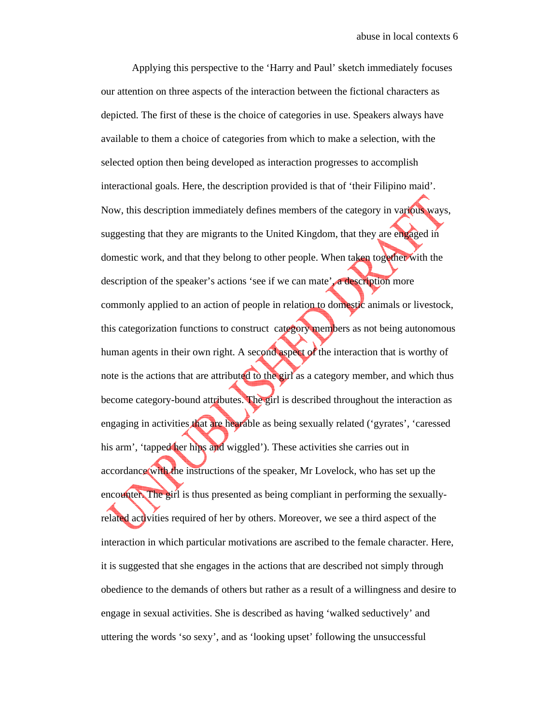Applying this perspective to the 'Harry and Paul' sketch immediately focuses our attention on three aspects of the interaction between the fictional characters as depicted. The first of these is the choice of categories in use. Speakers always have available to them a choice of categories from which to make a selection, with the selected option then being developed as interaction progresses to accomplish interactional goals. Here, the description provided is that of 'their Filipino maid'. Now, this description immediately defines members of the category in various ways, suggesting that they are migrants to the United Kingdom, that they are engaged in domestic work, and that they belong to other people. When taken together with the description of the speaker's actions 'see if we can mate', a description more commonly applied to an action of people in relation to domestic animals or livestock, this categorization functions to construct category members as not being autonomous human agents in their own right. A second aspect of the interaction that is worthy of note is the actions that are attributed to the girl as a category member, and which thus become category-bound attributes. The girl is described throughout the interaction as engaging in activities that are hearable as being sexually related ('gyrates', 'caressed his arm', 'tapped her hips and wiggled'). These activities she carries out in accordance with the instructions of the speaker, Mr Lovelock, who has set up the encounter. The girl is thus presented as being compliant in performing the sexuallyrelated activities required of her by others. Moreover, we see a third aspect of the interaction in which particular motivations are ascribed to the female character. Here, it is suggested that she engages in the actions that are described not simply through obedience to the demands of others but rather as a result of a willingness and desire to engage in sexual activities. She is described as having 'walked seductively' and uttering the words 'so sexy', and as 'looking upset' following the unsuccessful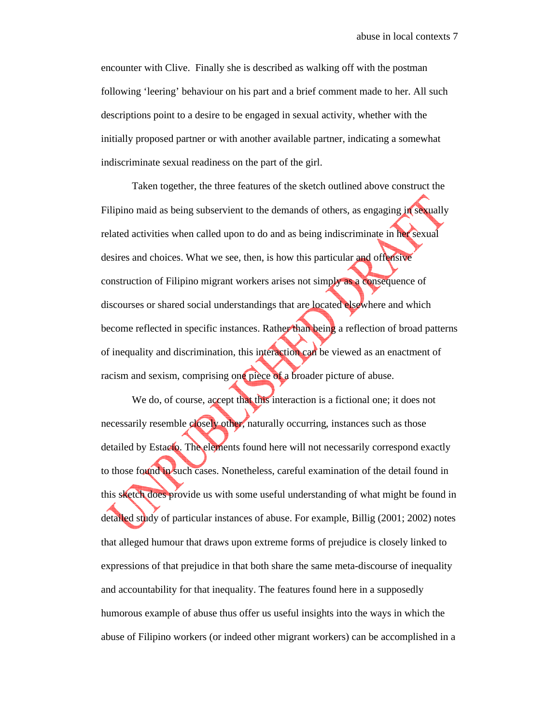encounter with Clive. Finally she is described as walking off with the postman following 'leering' behaviour on his part and a brief comment made to her. All such descriptions point to a desire to be engaged in sexual activity, whether with the initially proposed partner or with another available partner, indicating a somewhat indiscriminate sexual readiness on the part of the girl.

Taken together, the three features of the sketch outlined above construct the Filipino maid as being subservient to the demands of others, as engaging in sexually related activities when called upon to do and as being indiscriminate in her sexual desires and choices. What we see, then, is how this particular and offensive construction of Filipino migrant workers arises not simply as a consequence of discourses or shared social understandings that are located elsewhere and which become reflected in specific instances. Rather than being a reflection of broad patterns of inequality and discrimination, this interaction can be viewed as an enactment of racism and sexism, comprising one piece of a broader picture of abuse.

We do, of course, accept that this interaction is a fictional one; it does not necessarily resemble closely other, naturally occurring, instances such as those detailed by Estacio. The elements found here will not necessarily correspond exactly to those found in such cases. Nonetheless, careful examination of the detail found in this sketch does provide us with some useful understanding of what might be found in detailed study of particular instances of abuse. For example, Billig (2001; 2002) notes that alleged humour that draws upon extreme forms of prejudice is closely linked to expressions of that prejudice in that both share the same meta-discourse of inequality and accountability for that inequality. The features found here in a supposedly humorous example of abuse thus offer us useful insights into the ways in which the abuse of Filipino workers (or indeed other migrant workers) can be accomplished in a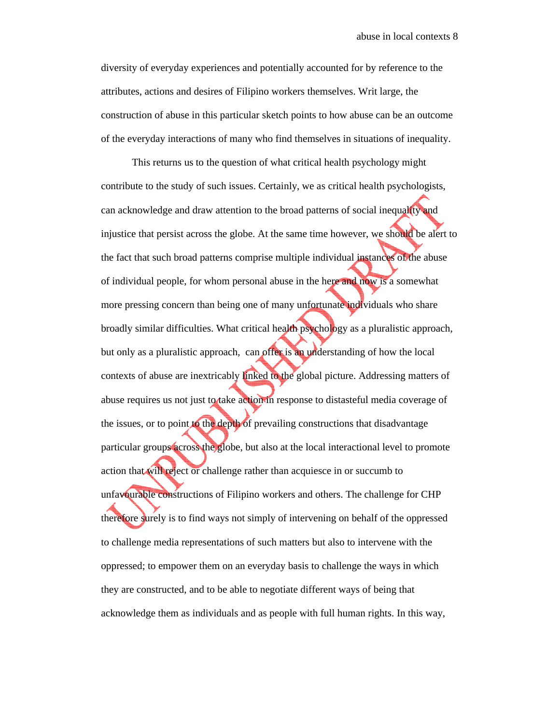diversity of everyday experiences and potentially accounted for by reference to the attributes, actions and desires of Filipino workers themselves. Writ large, the construction of abuse in this particular sketch points to how abuse can be an outcome of the everyday interactions of many who find themselves in situations of inequality.

This returns us to the question of what critical health psychology might contribute to the study of such issues. Certainly, we as critical health psychologists, can acknowledge and draw attention to the broad patterns of social inequality and injustice that persist across the globe. At the same time however, we should be alert to the fact that such broad patterns comprise multiple individual instances of the abuse of individual people, for whom personal abuse in the here and now is a somewhat more pressing concern than being one of many unfortunate individuals who share broadly similar difficulties. What critical health psychology as a pluralistic approach, but only as a pluralistic approach, can offer is an understanding of how the local contexts of abuse are inextricably linked to the global picture. Addressing matters of abuse requires us not just to take action in response to distasteful media coverage of the issues, or to point to the depth of prevailing constructions that disadvantage particular groups across the globe, but also at the local interactional level to promote action that will reject or challenge rather than acquiesce in or succumb to unfavourable constructions of Filipino workers and others. The challenge for CHP therefore surely is to find ways not simply of intervening on behalf of the oppressed to challenge media representations of such matters but also to intervene with the oppressed; to empower them on an everyday basis to challenge the ways in which they are constructed, and to be able to negotiate different ways of being that acknowledge them as individuals and as people with full human rights. In this way,